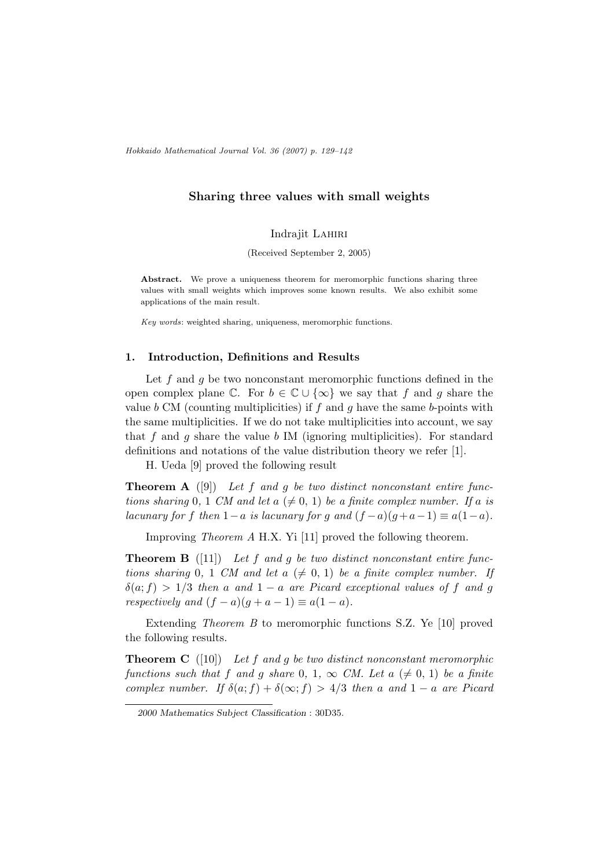Hokkaido Mathematical Journal Vol. 36 (2007) p. 129–142

# Sharing three values with small weights

#### Indraiit LAHIRI

(Received September 2, 2005)

Abstract. We prove a uniqueness theorem for meromorphic functions sharing three values with small weights which improves some known results. We also exhibit some applications of the main result.

Key words: weighted sharing, uniqueness, meromorphic functions.

### 1. Introduction, Definitions and Results

Let f and q be two nonconstant meromorphic functions defined in the open complex plane  $\mathbb{C}$ . For  $b \in \mathbb{C} \cup \{\infty\}$  we say that f and g share the value b CM (counting multiplicities) if f and g have the same b-points with the same multiplicities. If we do not take multiplicities into account, we say that f and g share the value b IM (ignoring multiplicities). For standard definitions and notations of the value distribution theory we refer [1].

H. Ueda [9] proved the following result

**Theorem A** ([9]) Let f and g be two distinct nonconstant entire functions sharing 0, 1 CM and let  $a \neq 0, 1$  be a finite complex number. If a is lacunary for f then  $1-a$  is lacunary for g and  $(f - a)(g + a - 1) \equiv a(1 - a)$ .

Improving Theorem A H.X. Yi [11] proved the following theorem.

**Theorem B** ([11]) Let f and g be two distinct nonconstant entire functions sharing 0, 1 CM and let  $a \neq 0, 1$ ) be a finite complex number. If  $\delta(a; f) > 1/3$  then a and  $1 - a$  are Picard exceptional values of f and g respectively and  $(f - a)(g + a - 1) \equiv a(1 - a)$ .

Extending Theorem B to meromorphic functions S.Z. Ye [10] proved the following results.

**Theorem C** ([10]) Let f and g be two distinct nonconstant meromorphic functions such that f and g share 0, 1,  $\infty$  CM. Let  $a \neq 0, 1$  be a finite complex number. If  $\delta(a; f) + \delta(\infty; f) > 4/3$  then a and  $1 - a$  are Picard

<sup>2000</sup> Mathematics Subject Classification : 30D35.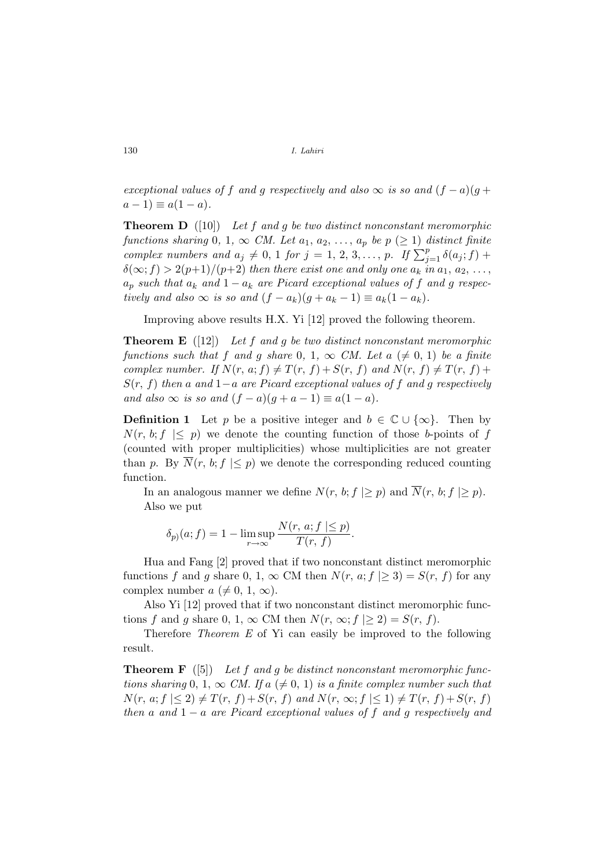exceptional values of f and g respectively and also  $\infty$  is so and  $(f - a)(g +$  $a-1 \equiv a(1-a)$ .

**Theorem D** ([10]) Let f and g be two distinct nonconstant meromorphic functions sharing 0, 1,  $\infty$  CM. Let  $a_1, a_2, \ldots, a_p$  be  $p \ (\geq 1)$  distinct finite functions sharing 0, 1,  $\infty$  CM. Let  $a_1, a_2, ..., a_p$  be  $p \ge 1$  assumed finite<br>complex numbers and  $a_j \ne 0, 1$  for  $j = 1, 2, 3, ..., p$ . If  $\sum_{j=1}^p \delta(a_j; f)$  +  $\delta(\infty; f) > 2(p+1)/(p+2)$  then there exist one and only one  $a_k$  in  $a_1, a_2, \ldots$ ,  $a_p$  such that  $a_k$  and  $1 - a_k$  are Picard exceptional values of f and g respectively and also  $\infty$  is so and  $(f - a_k)(g + a_k - 1) \equiv a_k(1 - a_k)$ .

Improving above results H.X. Yi [12] proved the following theorem.

**Theorem E** ([12]) Let f and g be two distinct nonconstant meromorphic functions such that f and g share 0, 1,  $\infty$  CM. Let a ( $\neq$  0, 1) be a finite complex number. If  $N(r, a; f) \neq T(r, f) + S(r, f)$  and  $N(r, f) \neq T(r, f) +$  $S(r, f)$  then a and 1−a are Picard exceptional values of f and q respectively and also  $\infty$  is so and  $(f - a)(g + a - 1) \equiv a(1 - a)$ .

**Definition 1** Let p be a positive integer and  $b \in \mathbb{C} \cup \{\infty\}$ . Then by  $N(r, b; f \leq p)$  we denote the counting function of those b-points of f (counted with proper multiplicities) whose multiplicities are not greater than p. By  $\overline{N}(r, b; f | \leq p)$  we denote the corresponding reduced counting function.

In an analogous manner we define  $N(r, b; f \geq p)$  and  $\overline{N}(r, b; f \geq p)$ . Also we put

$$
\delta_p(a; f) = 1 - \limsup_{r \to \infty} \frac{N(r, a; f | \le p)}{T(r, f)}.
$$

Hua and Fang [2] proved that if two nonconstant distinct meromorphic functions f and g share 0, 1,  $\infty$  CM then  $N(r, a; f \geq 3) = S(r, f)$  for any complex number  $a \neq 0, 1, \infty$ ).

Also Yi [12] proved that if two nonconstant distinct meromorphic functions f and g share 0, 1,  $\infty$  CM then  $N(r, \infty; f \geq 2) = S(r, f)$ .

Therefore Theorem E of Yi can easily be improved to the following result.

**Theorem F** ([5]) Let f and g be distinct nonconstant meromorphic functions sharing 0, 1,  $\infty$  CM. If a ( $\neq$  0, 1) is a finite complex number such that  $N(r, a; f \leq 2) \neq T(r, f) + S(r, f)$  and  $N(r, \infty; f \leq 1) \neq T(r, f) + S(r, f)$ then a and  $1 - a$  are Picard exceptional values of f and g respectively and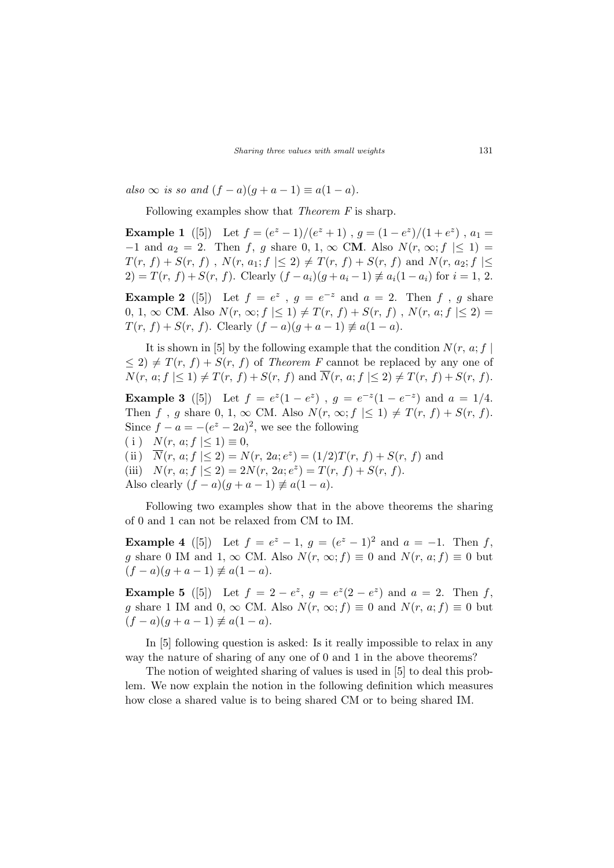also  $\infty$  is so and  $(f - a)(g + a - 1) \equiv a(1 - a)$ .

Following examples show that *Theorem F* is sharp.

**Example 1** ([5]) Let  $f = (e^z - 1)/(e^z + 1)$ ,  $g = (1 - e^z)/(1 + e^z)$ ,  $a_1 =$  $-1$  and  $a_2 = 2$ . Then f, g share 0, 1,  $\infty$  CM. Also  $N(r, \infty; f \leq 1)$  $T(r, f) + S(r, f)$ ,  $N(r, a_1; f \leq 2) \neq T(r, f) + S(r, f)$  and  $N(r, a_2; f \leq 1)$ 2) =  $T(r, f) + S(r, f)$ . Clearly  $(f - a_i)(g + a_i - 1) \neq a_i(1 - a_i)$  for  $i = 1, 2$ .

**Example 2** ([5]) Let  $f = e^z$ ,  $g = e^{-z}$  and  $a = 2$ . Then f, g share 0, 1,  $\infty$  CM. Also  $N(r, \infty; f \leq 1) \neq T(r, f) + S(r, f)$ ,  $N(r, a; f \leq 2) =$  $T(r, f) + S(r, f)$ . Clearly  $(f - a)(g + a - 1) \neq a(1 - a)$ .

It is shown in [5] by the following example that the condition  $N(r, a; f)$  $\leq 2$ )  $\neq T(r, f) + S(r, f)$  of Theorem F cannot be replaced by any one of  $N(r, a; f \leq 1) \neq T(r, f) + S(r, f)$  and  $\overline{N}(r, a; f \leq 2) \neq T(r, f) + S(r, f)$ .

**Example 3** ([5]) Let  $f = e^{z}(1-e^{z})$ ,  $g = e^{-z}(1-e^{-z})$  and  $a = 1/4$ . Then f, g share 0, 1,  $\infty$  CM. Also  $N(r, \infty; f \leq 1) \neq T(r, f) + S(r, f)$ . Since  $f - a = -(e^z - 2a)^2$ , we see the following

( i )  $N(r, a; f | \leq 1) \equiv 0$ ,

(ii)  $\overline{N}(r, a; f) \leq 2$  =  $N(r, 2a; e^z) = (1/2)T(r, f) + S(r, f)$  and (iii)  $N(r, a; f | \leq 2) = 2N(r, 2a; e^z) = T(r, f) + S(r, f).$ 

Also clearly  $(f - a)(g + a - 1) \neq a(1 - a)$ .

Following two examples show that in the above theorems the sharing of 0 and 1 can not be relaxed from CM to IM.

**Example 4** ([5]) Let  $f = e^z - 1$ ,  $g = (e^z - 1)^2$  and  $a = -1$ . Then f, g share 0 IM and 1,  $\infty$  CM. Also  $N(r, \infty; f) \equiv 0$  and  $N(r, a; f) \equiv 0$  but  $(f - a)(g + a - 1) \neq a(1 - a).$ 

**Example 5** ([5]) Let  $f = 2 - e^z$ ,  $g = e^z(2 - e^z)$  and  $a = 2$ . Then f, g share 1 IM and 0,  $\infty$  CM. Also  $N(r, \infty; f) \equiv 0$  and  $N(r, a; f) \equiv 0$  but  $(f - a)(g + a - 1) \neq a(1 - a).$ 

In [5] following question is asked: Is it really impossible to relax in any way the nature of sharing of any one of 0 and 1 in the above theorems?

The notion of weighted sharing of values is used in [5] to deal this problem. We now explain the notion in the following definition which measures how close a shared value is to being shared CM or to being shared IM.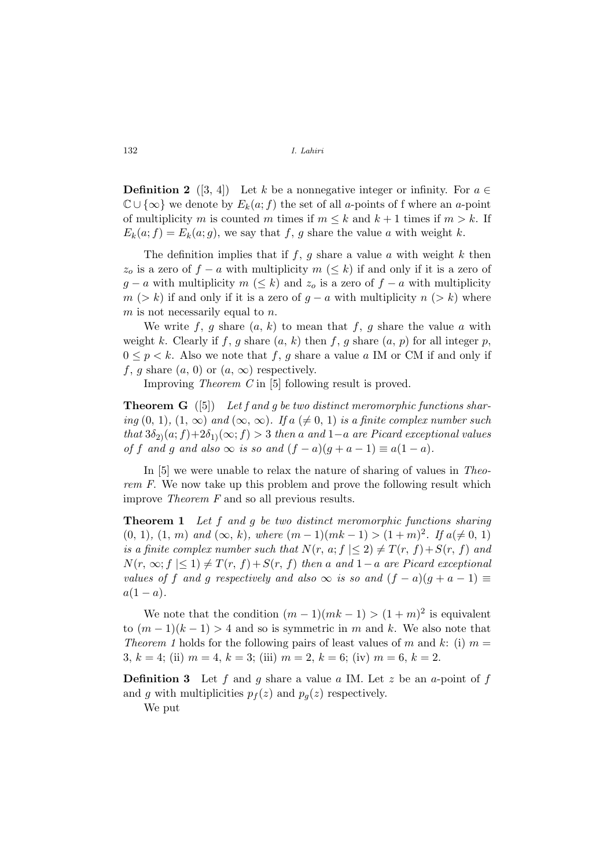**Definition 2** ([3, 4]) Let k be a nonnegative integer or infinity. For  $a \in \mathbb{R}$  $\mathbb{C} \cup \{\infty\}$  we denote by  $E_k(a; f)$  the set of all a-points of f where an a-point of multiplicity m is counted m times if  $m \leq k$  and  $k + 1$  times if  $m > k$ . If  $E_k(a; f) = E_k(a; g)$ , we say that f, g share the value a with weight k.

The definition implies that if  $f, g$  share a value a with weight k then  $z<sub>o</sub>$  is a zero of  $f - a$  with multiplicity  $m \ (\leq k)$  if and only if it is a zero of  $g - a$  with multiplicity  $m \ (\leq k)$  and  $z_o$  is a zero of  $f - a$  with multiplicity  $m > k$  if and only if it is a zero of  $g - a$  with multiplicity  $n > k$  where  $m$  is not necessarily equal to  $n$ .

We write f, g share  $(a, k)$  to mean that f, g share the value a with weight k. Clearly if f, g share  $(a, k)$  then f, g share  $(a, p)$  for all integer p,  $0 \leq p \leq k$ . Also we note that f, g share a value a IM or CM if and only if f, g share  $(a, 0)$  or  $(a, \infty)$  respectively.

Improving Theorem C in [5] following result is proved.

**Theorem G** ([5]) Let f and g be two distinct meromorphic functions sharing (0, 1), (1,  $\infty$ ) and ( $\infty$ ,  $\infty$ ). If a ( $\neq$  0, 1) is a finite complex number such that  $3\delta_{2}(a; f)+2\delta_{1}(∞; f) > 3$  then a and  $1-a$  are Picard exceptional values of f and g and also  $\infty$  is so and  $(f - a)(g + a - 1) \equiv a(1 - a)$ .

In [5] we were unable to relax the nature of sharing of values in Theorem F. We now take up this problem and prove the following result which improve Theorem F and so all previous results.

**Theorem 1** Let f and g be two distinct meromorphic functions sharing  $(0, 1), (1, m)$  and  $(\infty, k)$ , where  $(m-1)(mk-1) > (1+m)^2$ . If  $a \neq 0, 1$ is a finite complex number such that  $N(r, a; f \leq 2) \neq T(r, f) + S(r, f)$  and  $N(r, \infty; f \leq 1) \neq T(r, f) + S(r, f)$  then a and  $1-a$  are Picard exceptional values of f and g respectively and also  $\infty$  is so and  $(f - a)(g + a - 1) \equiv$  $a(1-a)$ .

We note that the condition  $(m-1)(mk-1) > (1+m)^2$  is equivalent to  $(m-1)(k-1) > 4$  and so is symmetric in m and k. We also note that *Theorem 1* holds for the following pairs of least values of m and k: (i)  $m =$ 3,  $k = 4$ ; (ii)  $m = 4$ ,  $k = 3$ ; (iii)  $m = 2$ ,  $k = 6$ ; (iv)  $m = 6$ ,  $k = 2$ .

**Definition 3** Let f and g share a value a IM. Let z be an a-point of f and g with multiplicities  $p_f(z)$  and  $p_q(z)$  respectively.

We put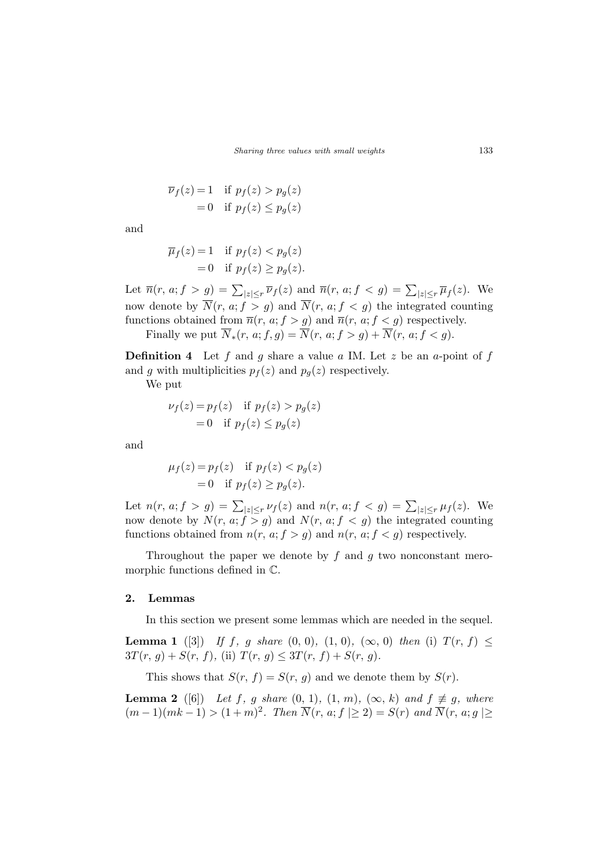$$
\overline{\nu}_f(z) = 1 \quad \text{if } p_f(z) > p_g(z)
$$

$$
= 0 \quad \text{if } p_f(z) \le p_g(z)
$$

and

$$
\overline{\mu}_f(z) = 1 \quad \text{if } p_f(z) < p_g(z) \\
= 0 \quad \text{if } p_f(z) \ge p_g(z).
$$

Let  $\overline{n}(r, a; f > g) = \sum_{|z| \leq r} \overline{\nu}_f(z)$  and  $\overline{n}(r, a; f < g) = \sum_{|z| \leq r} \overline{\mu}_f(z)$ . We now denote by  $\overline{N}(r, a; f > g)$  and  $\overline{N}(r, a; f < g)$  the integrated counting functions obtained from  $\overline{n}(r, a; f > g)$  and  $\overline{n}(r, a; f < g)$  respectively.

Finally we put  $\overline{N}_*(r, a; f, g) = \overline{N}(r, a; f > g) + \overline{N}(r, a; f < g)$ .

**Definition 4** Let f and g share a value a IM. Let z be an a-point of f and g with multiplicities  $p_f(z)$  and  $p_g(z)$  respectively.

We put

$$
\nu_f(z) = p_f(z) \quad \text{if } p_f(z) > p_g(z)
$$

$$
= 0 \quad \text{if } p_f(z) \le p_g(z)
$$

and

$$
\mu_f(z) = p_f(z) \quad \text{if } p_f(z) < p_g(z) \\ = 0 \quad \text{if } p_f(z) \ge p_g(z).
$$

Let  $n(r, a; f > g) = \sum_{|z| \leq r} \nu_f(z)$  and  $n(r, a; f < g) = \sum_{|z| \leq r} \mu_f(z)$ . We now denote by  $N(r, a; f > g)$  and  $N(r, a; f < g)$  the integrated counting functions obtained from  $n(r, a; f > g)$  and  $n(r, a; f < g)$  respectively.

Throughout the paper we denote by  $f$  and  $g$  two nonconstant meromorphic functions defined in C.

#### 2. Lemmas

In this section we present some lemmas which are needed in the sequel.

**Lemma 1** ([3]) If f, g share  $(0, 0)$ ,  $(1, 0)$ ,  $(\infty, 0)$  then (i)  $T(r, f) \le$  $3T(r, g) + S(r, f),$  (ii)  $T(r, g) \leq 3T(r, f) + S(r, g).$ 

This shows that  $S(r, f) = S(r, g)$  and we denote them by  $S(r)$ .

**Lemma 2** ([6]) Let f, g share  $(0, 1)$ ,  $(1, m)$ ,  $(\infty, k)$  and  $f \not\equiv g$ , where  $(m-1)(mk-1) > (1+m)^2$ . Then  $\overline{N}(r, a; f \geq 2) = S(r)$  and  $\overline{N}(r, a; g \geq 1)$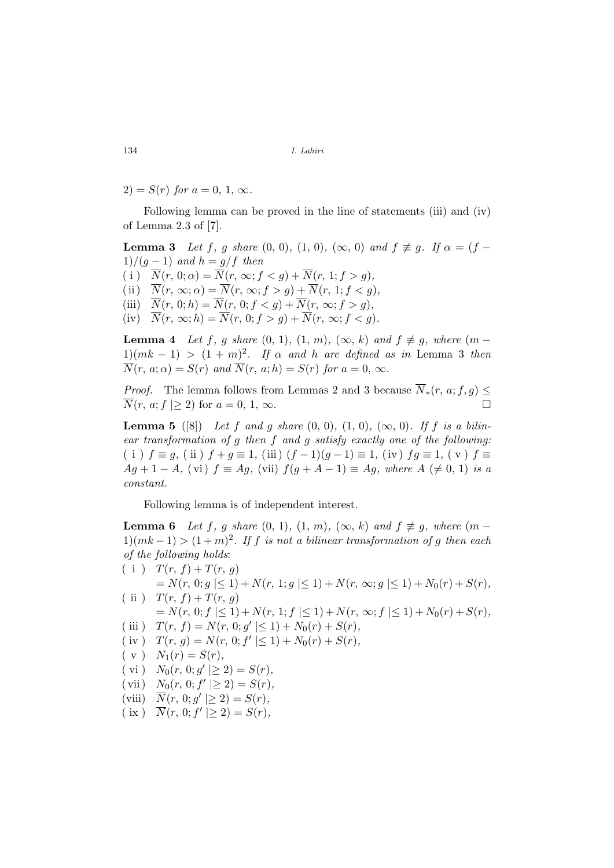2) =  $S(r)$  for  $a = 0, 1, \infty$ .

Following lemma can be proved in the line of statements (iii) and (iv) of Lemma 2.3 of [7].

**Lemma 3** Let f, g share  $(0, 0)$ ,  $(1, 0)$ ,  $(\infty, 0)$  and  $f \not\equiv g$ . If  $\alpha = (f 1)/(g-1)$  and  $h = g/f$  then ( i )  $\overline{N}(r, 0; \alpha) = \overline{N}(r, \infty; f < g) + \overline{N}(r, 1; f > g),$ (ii)  $\overline{N}(r, \infty; \alpha) = \overline{N}(r, \infty; f > g) + \overline{N}(r, 1; f < g),$ (iii)  $\overline{N}(r, 0; h) = \overline{N}(r, 0; f < q) + \overline{N}(r, \infty; f > q),$ (iv)  $\overline{N}(r, \infty; h) = \overline{N}(r, 0; f > g) + \overline{N}(r, \infty; f < g).$ 

**Lemma 4** Let f, g share  $(0, 1)$ ,  $(1, m)$ ,  $(\infty, k)$  and  $f \not\equiv g$ , where  $(m 1/(mk-1) > (1+m)^2$ . If  $\alpha$  and h are defined as in Lemma 3 then  $\overline{N}(r, a; \alpha) = S(r)$  and  $\overline{N}(r, a; h) = S(r)$  for  $a = 0, \infty$ .

*Proof.* The lemma follows from Lemmas 2 and 3 because  $\overline{N}_*(r, a; f, g) \leq$  $\overline{N}(r, a; f \geq 2)$  for  $a = 0, 1, \infty$ .

**Lemma 5** ([8]) Let f and g share  $(0, 0)$ ,  $(1, 0)$ ,  $(\infty, 0)$ . If f is a bilinear transformation of g then f and g satisfy exactly one of the following: ( i )  $f \equiv g$ , (ii )  $f + g \equiv 1$ , (iii)  $(f - 1)(g - 1) \equiv 1$ , (iv)  $fg \equiv 1$ , (v)  $f \equiv$  $Ag + 1 - A$ , (vi)  $f \equiv Ag$ , (vii)  $f(g + A - 1) \equiv Ag$ , where  $A \neq 0, 1$  is a constant.

Following lemma is of independent interest.

**Lemma 6** Let f, g share  $(0, 1)$ ,  $(1, m)$ ,  $(\infty, k)$  and  $f \not\equiv g$ , where  $(m 1(mk-1) > (1+m)^2$ . If f is not a bilinear transformation of g then each of the following holds:

( i )  $T(r, f) + T(r, g)$ 

 $= N(r, 0; g \leq 1) + N(r, 1; g \leq 1) + N(r, \infty; g \leq 1) + N_0(r) + S(r),$ ( ii )  $T(r, f) + T(r, g)$ 

 $= N(r, 0; f \leq 1) + N(r, 1; f \leq 1) + N(r, \infty; f \leq 1) + N_0(r) + S(r),$ 

- (iii)  $T(r, f) = N(r, 0; g' | \le 1) + N_0(r) + S(r),$
- (iv)  $T(r, g) = N(r, 0; f' | \le 1) + N_0(r) + S(r),$
- $(v)$   $N_1(r) = S(r),$
- (vi)  $N_0(r, 0; g' | \ge 2) = S(r)$ ,
- (vii)  $N_0(r, 0; f' | \ge 2) = S(r)$ ,
- (viii)  $\overline{N}(r, 0; g' | \ge 2) = S(r)$ ,
- $(\text{ix}) \quad \overline{N}(r, 0; f' | \geq 2) = S(r),$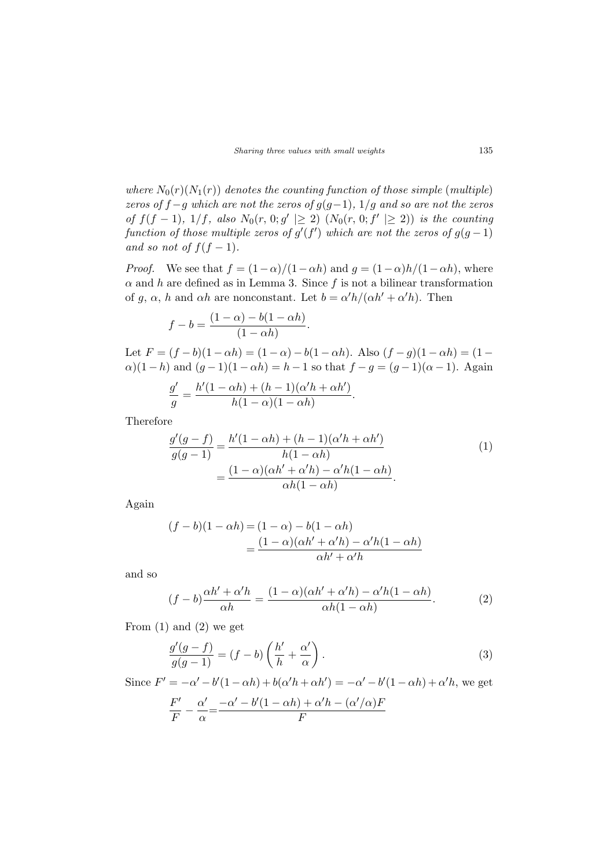where  $N_0(r)(N_1(r))$  denotes the counting function of those simple (multiple) zeros of  $f-g$  which are not the zeros of  $g(g-1)$ ,  $1/g$  and so are not the zeros of  $f(f-1)$ ,  $1/f$ , also  $N_0(r, 0; g' | \ge 2)$  ( $N_0(r, 0; f' | \ge 2)$ ) is the counting function of those multiple zeros of  $g'(f')$  which are not the zeros of  $g(g-1)$ and so not of  $f(f-1)$ .

*Proof.* We see that  $f = (1 - \alpha)/(1 - \alpha h)$  and  $q = (1 - \alpha)h/(1 - \alpha h)$ , where  $\alpha$  and h are defined as in Lemma 3. Since f is not a bilinear transformation of g,  $\alpha$ , h and  $\alpha h$  are nonconstant. Let  $b = \alpha' h/(\alpha h' + \alpha' h)$ . Then

$$
f - b = \frac{(1 - \alpha) - b(1 - \alpha h)}{(1 - \alpha h)}.
$$

Let  $F = (f - b)(1 - \alpha h) = (1 - \alpha) - b(1 - \alpha h)$ . Also  $(f - g)(1 - \alpha h) = (1 - \alpha)$  $\alpha$ )(1 – h) and  $(q-1)(1-\alpha h) = h-1$  so that  $f - q = (q-1)(\alpha - 1)$ . Again

$$
\frac{g'}{g} = \frac{h'(1-\alpha h) + (h-1)(\alpha' h + \alpha h')}{h(1-\alpha)(1-\alpha h)}.
$$

Therefore

$$
\frac{g'(g-f)}{g(g-1)} = \frac{h'(1 - \alpha h) + (h-1)(\alpha' h + \alpha h')}{h(1 - \alpha h)} \n= \frac{(1 - \alpha)(\alpha h' + \alpha' h) - \alpha' h(1 - \alpha h)}{\alpha h(1 - \alpha h)}.
$$
\n(1)

Again

$$
(f - b)(1 - \alpha h) = (1 - \alpha) - b(1 - \alpha h)
$$

$$
= \frac{(1 - \alpha)(\alpha h' + \alpha' h) - \alpha' h(1 - \alpha h)}{\alpha h' + \alpha' h}
$$

and so

$$
(f-b)\frac{\alpha h' + \alpha' h}{\alpha h} = \frac{(1-\alpha)(\alpha h' + \alpha' h) - \alpha' h (1-\alpha h)}{\alpha h (1-\alpha h)}.
$$
 (2)

From  $(1)$  and  $(2)$  we get

$$
\frac{g'(g-f)}{g(g-1)} = (f-b)\left(\frac{h'}{h} + \frac{\alpha'}{\alpha}\right). \tag{3}
$$

Since  $F' = -\alpha' - b'(1 - \alpha h) + b(\alpha' h + \alpha h') = -\alpha' - b'(1 - \alpha h) + \alpha' h$ , we get  $F'$  $\frac{F'}{F} - \frac{\alpha'}{\alpha}$  $\alpha' = \frac{-\alpha' - b'(1 - \alpha h) + \alpha' h - (\alpha'/\alpha)F}{F}$ F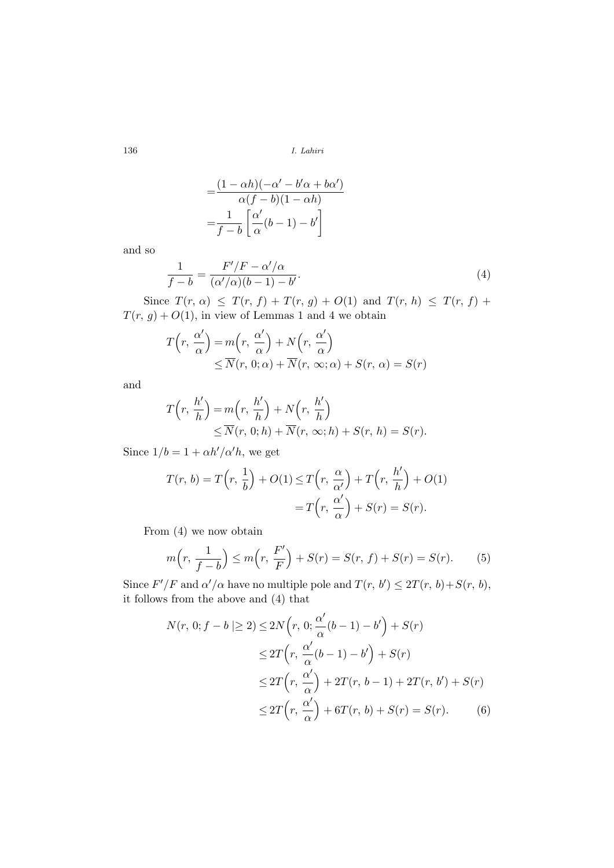$$
=\frac{(1 - \alpha h)(-\alpha' - b'\alpha + b\alpha')}{\alpha(f - b)(1 - \alpha h)}
$$

$$
=\frac{1}{f - b}\left[\frac{\alpha'}{\alpha}(b - 1) - b'\right]
$$

and so

$$
\frac{1}{f-b} = \frac{F'/F - \alpha'/\alpha}{(\alpha'/\alpha)(b-1) - b'}.
$$
\n(4)

Since  $T(r, \alpha) \leq T(r, f) + T(r, g) + O(1)$  and  $T(r, h) \leq T(r, f) +$  $T(r, g) + O(1)$ , in view of Lemmas 1 and 4 we obtain

$$
T(r, \frac{\alpha'}{\alpha}) = m(r, \frac{\alpha'}{\alpha}) + N(r, \frac{\alpha'}{\alpha})
$$
  
 
$$
\leq \overline{N}(r, 0; \alpha) + \overline{N}(r, \infty; \alpha) + S(r, \alpha) = S(r)
$$

and

$$
T(r, \frac{h'}{h}) = m(r, \frac{h'}{h}) + N(r, \frac{h'}{h})
$$
  
 
$$
\leq \overline{N}(r, 0; h) + \overline{N}(r, \infty; h) + S(r, h) = S(r).
$$

Since  $1/b = 1 + \alpha h'/\alpha' h$ , we get

$$
T(r, b) = T\left(r, \frac{1}{b}\right) + O(1) \le T\left(r, \frac{\alpha}{\alpha'}\right) + T\left(r, \frac{h'}{h}\right) + O(1)
$$

$$
= T\left(r, \frac{\alpha'}{\alpha}\right) + S(r) = S(r).
$$

From (4) we now obtain

$$
m(r, \frac{1}{f-b}) \le m(r, \frac{F'}{F}) + S(r) = S(r, f) + S(r) = S(r). \tag{5}
$$

Since  $F'/F$  and  $\alpha'/\alpha$  have no multiple pole and  $T(r, b') \leq 2T(r, b) + S(r, b)$ , it follows from the above and (4) that

$$
N(r, 0; f - b \mid \ge 2) \le 2N(r, 0; \frac{\alpha'}{\alpha}(b - 1) - b') + S(r)
$$
  
\n
$$
\le 2T(r, \frac{\alpha'}{\alpha}(b - 1) - b') + S(r)
$$
  
\n
$$
\le 2T(r, \frac{\alpha'}{\alpha}) + 2T(r, b - 1) + 2T(r, b') + S(r)
$$
  
\n
$$
\le 2T(r, \frac{\alpha'}{\alpha}) + 6T(r, b) + S(r) = S(r).
$$
 (6)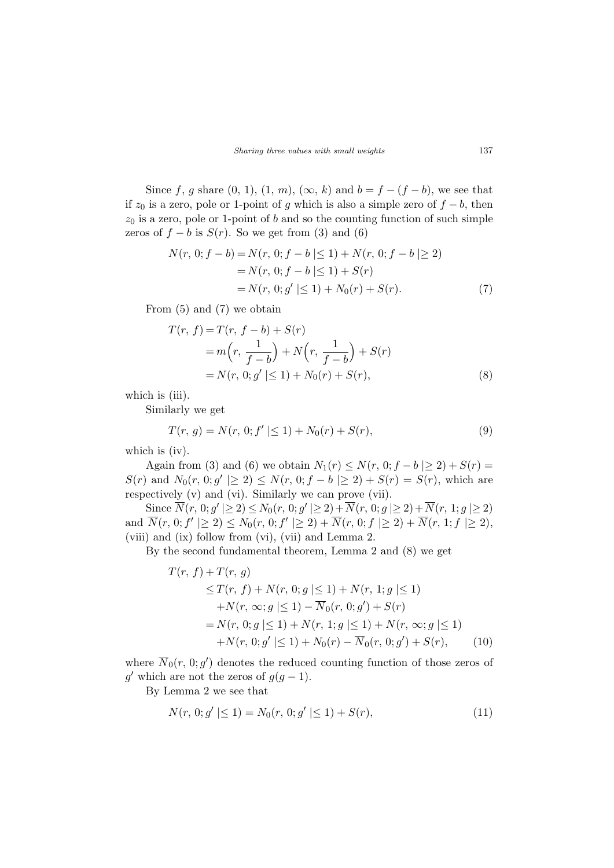Since f, g share  $(0, 1)$ ,  $(1, m)$ ,  $(\infty, k)$  and  $b = f - (f - b)$ , we see that if  $z_0$  is a zero, pole or 1-point of g which is also a simple zero of  $f - b$ , then  $z_0$  is a zero, pole or 1-point of b and so the counting function of such simple zeros of  $f - b$  is  $S(r)$ . So we get from (3) and (6)

$$
N(r, 0; f - b) = N(r, 0; f - b \le 1) + N(r, 0; f - b \ge 2)
$$
  
=  $N(r, 0; f - b \le 1) + S(r)$   
=  $N(r, 0; g' \le 1) + N_0(r) + S(r).$  (7)

From (5) and (7) we obtain

$$
T(r, f) = T(r, f - b) + S(r)
$$
  
=  $m(r, \frac{1}{f - b}) + N(r, \frac{1}{f - b}) + S(r)$   
=  $N(r, 0; g' | \le 1) + N_0(r) + S(r),$  (8)

which is (iii).

Similarly we get

$$
T(r, g) = N(r, 0; f' | \le 1) + N_0(r) + S(r),
$$
\n(9)

which is (iv).

Again from (3) and (6) we obtain  $N_1(r) \le N(r, 0; f - b \ge 2) + S(r) =$  $S(r)$  and  $N_0(r, 0; g' \geq 2) \leq N(r, 0; f - b \geq 2) + S(r) = S(r)$ , which are respectively (v) and (vi). Similarly we can prove (vii).

Since  $\overline{N}(r, 0; g' | \ge 2) \le N_0(r, 0; g' | \ge 2) + \overline{N}(r, 0; g | \ge 2) + \overline{N}(r, 1; g | \ge 2)$ and  $\overline{N}(r, 0; f' | \ge 2) \le N_0(r, 0; f' | \ge 2) + \overline{N}(r, 0; f | \ge 2) + \overline{N}(r, 1; f | \ge 2),$ (viii) and (ix) follow from (vi), (vii) and Lemma 2.

By the second fundamental theorem, Lemma 2 and (8) we get

$$
T(r, f) + T(r, g)
$$
  
\n
$$
\leq T(r, f) + N(r, 0; g \leq 1) + N(r, 1; g \leq 1)
$$
  
\n
$$
+ N(r, \infty; g \leq 1) - \overline{N}_0(r, 0; g') + S(r)
$$
  
\n
$$
= N(r, 0; g \leq 1) + N(r, 1; g \leq 1) + N(r, \infty; g \leq 1)
$$
  
\n
$$
+ N(r, 0; g' \leq 1) + N_0(r) - \overline{N}_0(r, 0; g') + S(r), \qquad (10)
$$

where  $\overline{N}_0(r, 0; g')$  denotes the reduced counting function of those zeros of g' which are not the zeros of  $g(g-1)$ .

By Lemma 2 we see that

$$
N(r, 0; g' | \le 1) = N_0(r, 0; g' | \le 1) + S(r), \tag{11}
$$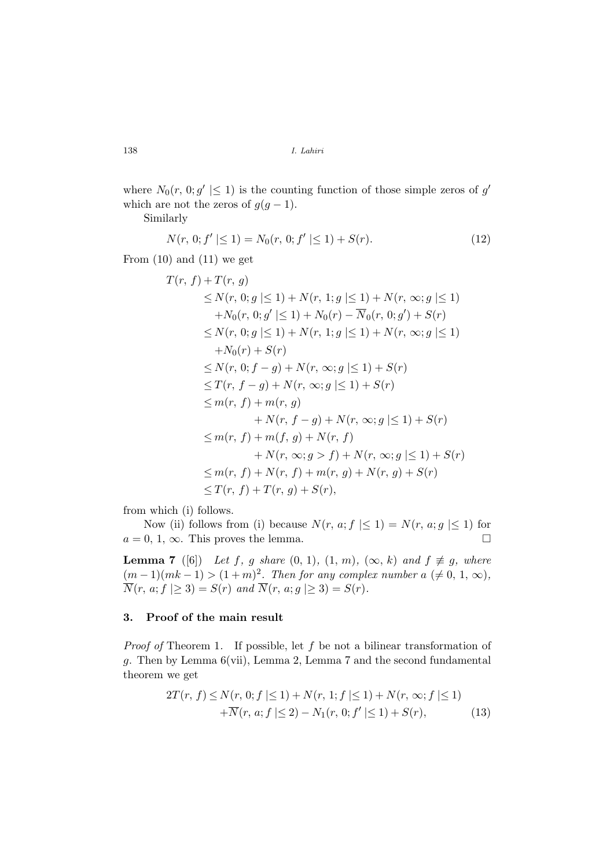where  $N_0(r, 0; g' \leq 1)$  is the counting function of those simple zeros of  $g'$ which are not the zeros of  $g(g-1)$ .

Similarly

$$
N(r, 0; f' | \le 1) = N_0(r, 0; f' | \le 1) + S(r).
$$
\n(12)

From  $(10)$  and  $(11)$  we get

$$
T(r, f) + T(r, g)
$$
  
\n
$$
\leq N(r, 0; g \leq 1) + N(r, 1; g \leq 1) + N(r, \infty; g \leq 1)
$$
  
\n
$$
+ N_0(r, 0; g' \leq 1) + N_0(r) - \overline{N}_0(r, 0; g') + S(r)
$$
  
\n
$$
\leq N(r, 0; g \leq 1) + N(r, 1; g \leq 1) + N(r, \infty; g \leq 1)
$$
  
\n
$$
+ N_0(r) + S(r)
$$
  
\n
$$
\leq N(r, 0; f - g) + N(r, \infty; g \leq 1) + S(r)
$$
  
\n
$$
\leq T(r, f - g) + N(r, \infty; g \leq 1) + S(r)
$$
  
\n
$$
\leq m(r, f) + m(r, g)
$$
  
\n
$$
+ N(r, f - g) + N(r, \infty; g \leq 1) + S(r)
$$
  
\n
$$
\leq m(r, f) + m(f, g) + N(r, f)
$$
  
\n
$$
+ N(r, \infty; g > f) + N(r, \infty; g \leq 1) + S(r)
$$
  
\n
$$
\leq m(r, f) + N(r, f) + m(r, g) + N(r, g) + S(r)
$$
  
\n
$$
\leq T(r, f) + T(r, g) + S(r),
$$

from which (i) follows.

Now (ii) follows from (i) because  $N(r, a; f \leq 1) = N(r, a; g \leq 1)$  for  $a = 0, 1, \infty$ . This proves the lemma.

**Lemma 7** ([6]) Let f, g share  $(0, 1)$ ,  $(1, m)$ ,  $(\infty, k)$  and  $f \not\equiv g$ , where  $(m-1)(mk-1) > (1+m)^2$ . Then for any complex number  $a \neq 0, 1, \infty$ ,  $\overline{N}(r, a; f \geq 3) = S(r)$  and  $\overline{N}(r, a; g \geq 3) = S(r)$ .

## 3. Proof of the main result

*Proof of* Theorem 1. If possible, let  $f$  be not a bilinear transformation of g. Then by Lemma 6(vii), Lemma 2, Lemma 7 and the second fundamental theorem we get

$$
2T(r, f) \le N(r, 0; f \le 1) + N(r, 1; f \le 1) + N(r, \infty; f \le 1)
$$
  
 
$$
+ \overline{N}(r, a; f \le 2) - N_1(r, 0; f' \le 1) + S(r),
$$
 (13)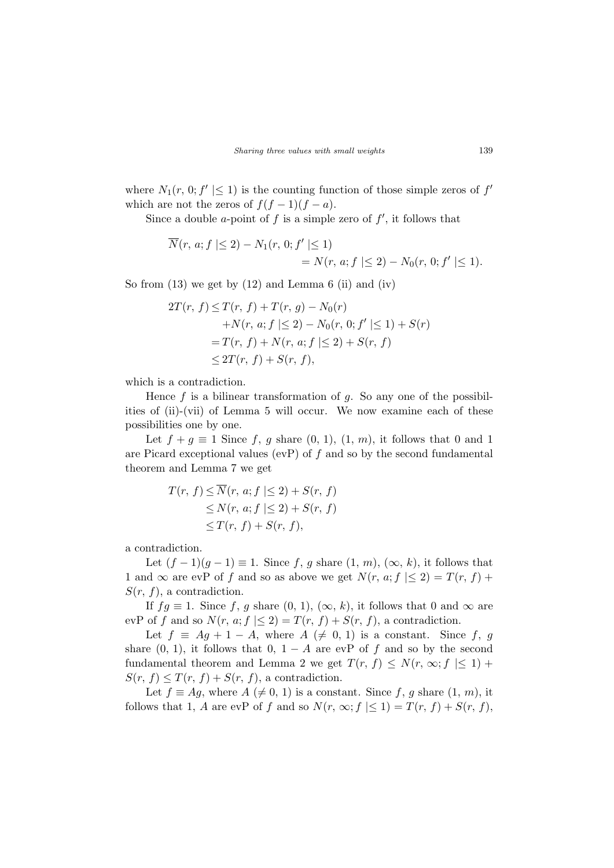where  $N_1(r, 0; f' \leq 1)$  is the counting function of those simple zeros of  $f'$ which are not the zeros of  $f(f-1)(f-a)$ .

Since a double a-point of f is a simple zero of  $f'$ , it follows that

$$
\overline{N}(r, a; f \mid \leq 2) - N_1(r, 0; f' \mid \leq 1) = N(r, a; f \mid \leq 2) - N_0(r, 0; f' \mid \leq 1).
$$

So from  $(13)$  we get by  $(12)$  and Lemma 6  $(ii)$  and  $(iv)$ 

$$
2T(r, f) \le T(r, f) + T(r, g) - N_0(r)
$$
  
+ $N(r, a; f | \le 2) - N_0(r, 0; f' | \le 1) + S(r)$   
=  $T(r, f) + N(r, a; f | \le 2) + S(r, f)$   
 $\le 2T(r, f) + S(r, f),$ 

which is a contradiction.

Hence  $f$  is a bilinear transformation of  $q$ . So any one of the possibilities of (ii)-(vii) of Lemma 5 will occur. We now examine each of these possibilities one by one.

Let  $f + g \equiv 1$  Since f, g share  $(0, 1)$ ,  $(1, m)$ , it follows that 0 and 1 are Picard exceptional values (evP) of  $f$  and so by the second fundamental theorem and Lemma 7 we get

$$
T(r, f) \le \overline{N}(r, a; f \le 2) + S(r, f)
$$
  
\n
$$
\le N(r, a; f \le 2) + S(r, f)
$$
  
\n
$$
\le T(r, f) + S(r, f),
$$

a contradiction.

Let  $(f-1)(g-1) \equiv 1$ . Since f, g share  $(1, m)$ ,  $(\infty, k)$ , it follows that 1 and  $\infty$  are evP of f and so as above we get  $N(r, a; f \leq 2) = T(r, f) +$  $S(r, f)$ , a contradiction.

If  $fg \equiv 1$ . Since f, g share  $(0, 1)$ ,  $(\infty, k)$ , it follows that 0 and  $\infty$  are evP of f and so  $N(r, a; f \leq 2) = T(r, f) + S(r, f)$ , a contradiction.

Let  $f \equiv Ag + 1 - A$ , where  $A \neq 0, 1$  is a constant. Since f, g share  $(0, 1)$ , it follows that  $0, 1 - A$  are evP of f and so by the second fundamental theorem and Lemma 2 we get  $T(r, f) \leq N(r, \infty; f \leq 1)$  +  $S(r, f) \leq T(r, f) + S(r, f)$ , a contradiction.

Let  $f \equiv Ag$ , where  $A \neq 0, 1$  is a constant. Since f, g share  $(1, m)$ , it follows that 1, A are evP of f and so  $N(r, \infty; f \leq 1) = T(r, f) + S(r, f)$ ,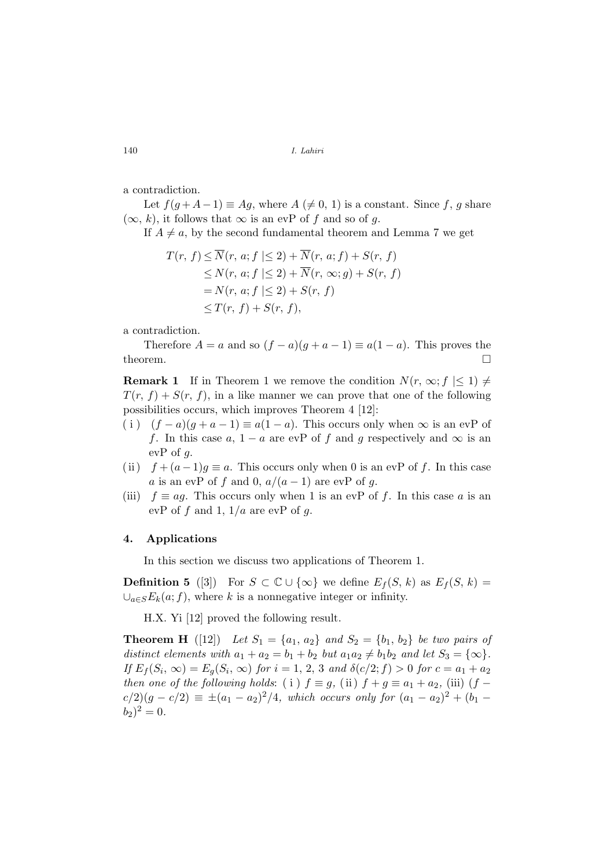a contradiction.

Let  $f(g+A-1) \equiv Ag$ , where  $A \neq 0, 1$  is a constant. Since f, g share  $(\infty, k)$ , it follows that  $\infty$  is an evP of f and so of g.

If  $A \neq a$ , by the second fundamental theorem and Lemma 7 we get

$$
T(r, f) \le \overline{N}(r, a; f \le 2) + \overline{N}(r, a; f) + S(r, f)
$$
  
\n
$$
\le N(r, a; f \le 2) + \overline{N}(r, \infty; g) + S(r, f)
$$
  
\n
$$
= N(r, a; f \le 2) + S(r, f)
$$
  
\n
$$
\le T(r, f) + S(r, f),
$$

a contradiction.

Therefore  $A = a$  and so  $(f - a)(g + a - 1) \equiv a(1 - a)$ . This proves the theorem.  $\Box$ 

**Remark 1** If in Theorem 1 we remove the condition  $N(r, \infty; f \leq 1) \neq 0$  $T(r, f) + S(r, f)$ , in a like manner we can prove that one of the following possibilities occurs, which improves Theorem 4 [12]:

- ( i )  $(f a)(g + a 1) \equiv a(1 a)$ . This occurs only when  $\infty$  is an evP of f. In this case a,  $1 - a$  are evP of f and g respectively and  $\infty$  is an evP of  $g$ .
- (ii)  $f + (a 1)g \equiv a$ . This occurs only when 0 is an evP of f. In this case a is an evP of f and 0,  $a/(a-1)$  are evP of g.
- (iii)  $f \equiv aq$ . This occurs only when 1 is an evP of f. In this case a is an evP of f and 1,  $1/a$  are evP of g.

### 4. Applications

In this section we discuss two applications of Theorem 1.

**Definition 5** ([3]) For  $S \subset \mathbb{C} \cup \{\infty\}$  we define  $E_f(S, k)$  as  $E_f(S, k)$  $\bigcup_{a\in S}E_k(a;f)$ , where k is a nonnegative integer or infinity.

H.X. Yi [12] proved the following result.

**Theorem H** ([12]) Let  $S_1 = \{a_1, a_2\}$  and  $S_2 = \{b_1, b_2\}$  be two pairs of distinct elements with  $a_1 + a_2 = b_1 + b_2$  but  $a_1a_2 \neq b_1b_2$  and let  $S_3 = {\infty}$ . If  $E_f(S_i, \infty) = E_g(S_i, \infty)$  for  $i = 1, 2, 3$  and  $\delta(c/2; f) > 0$  for  $c = a_1 + a_2$ then one of the following holds: (i)  $f \equiv g$ , (ii)  $f + g \equiv a_1 + a_2$ , (iii)  $(f$  $c/2$ ) $(g - c/2) \equiv \pm (a_1 - a_2)^2/4$ , which occurs only for  $(a_1 - a_2)^2 + (b_1 - b_2)^2$  $(b_2)^2 = 0.$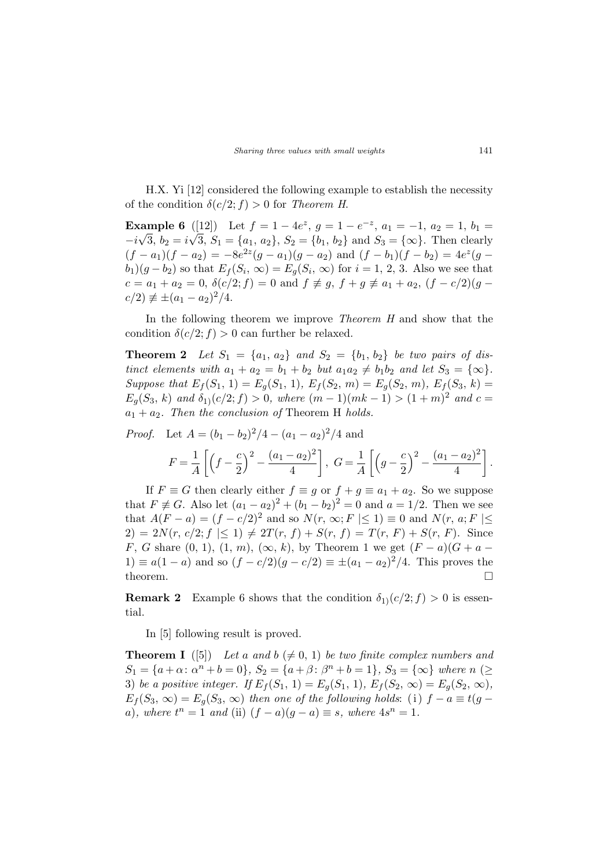H.X. Yi [12] considered the following example to establish the necessity of the condition  $\delta(c/2; f) > 0$  for Theorem H.

Example 6 ([12]) Let  $f = 1 - 4e^z$ ,  $g = 1 - e^{-z}$ ,  $a_1 = -1$ ,  $a_2 = 1$ ,  $b_1 =$  $-i\sqrt{3}, b_2 = i\sqrt{3}, S_1 = \{a_1, a_2\}, S_2 = \{b_1, b_2\}$  and  $S_3 = \{\infty\}.$  Then clearly  $(f - a_1)(f - a_2) = -8e^{2z}(g - a_1)(g - a_2)$  and  $(f - b_1)(f - b_2) = 4e^{z}(g - a_1)(g - a_2)$  $(b_1)(g-b_2)$  so that  $E_f(S_i, \infty) = E_g(S_i, \infty)$  for  $i = 1, 2, 3$ . Also we see that  $c = a_1 + a_2 = 0$ ,  $\delta(c/2; f) = 0$  and  $f \neq g$ ,  $f + g \neq a_1 + a_2$ ,  $(f - c/2)(g$  $c/2 \neq \pm (a_1 - a_2)^2/4.$ 

In the following theorem we improve Theorem H and show that the condition  $\delta(c/2; f) > 0$  can further be relaxed.

**Theorem 2** Let  $S_1 = \{a_1, a_2\}$  and  $S_2 = \{b_1, b_2\}$  be two pairs of distinct elements with  $a_1 + a_2 = b_1 + b_2$  but  $a_1a_2 \neq b_1b_2$  and let  $S_3 = {\infty}$ . Suppose that  $E_f(S_1, 1) = E_g(S_1, 1), E_f(S_2, m) = E_g(S_2, m), E_f(S_3, k) =$  $E_g(S_3, k)$  and  $\delta_{1}(c/2; f) > 0$ , where  $(m-1)(mk-1) > (1+m)^2$  and  $c =$  $a_1 + a_2$ . Then the conclusion of Theorem H holds.

*Proof.* Let  $A = (b_1 - b_2)^2/4 - (a_1 - a_2)^2/4$  and

$$
F = \frac{1}{A} \left[ \left( f - \frac{c}{2} \right)^2 - \frac{(a_1 - a_2)^2}{4} \right], \ G = \frac{1}{A} \left[ \left( g - \frac{c}{2} \right)^2 - \frac{(a_1 - a_2)^2}{4} \right].
$$

If  $F \equiv G$  then clearly either  $f \equiv g$  or  $f + g \equiv a_1 + a_2$ . So we suppose that  $F \not\equiv G$ . Also let  $(a_1 - a_2)^2 + (b_1 - b_2)^2 = 0$  and  $a = 1/2$ . Then we see that  $A(F - a) = (f - c/2)^2$  and so  $N(r, \infty; F \leq 1) \equiv 0$  and  $N(r, a; F \leq 1)$  $2) = 2N(r, c/2; f \leq 1) \neq 2T(r, f) + S(r, f) = T(r, F) + S(r, F)$ . Since F, G share  $(0, 1)$ ,  $(1, m)$ ,  $(\infty, k)$ , by Theorem 1 we get  $(F - a)(G + a -$ 1)  $\equiv a(1-a)$  and so  $(f - c/2)(g - c/2) \equiv \pm (a_1 - a_2)^2/4$ . This proves the theorem.  $\Box$ 

**Remark 2** Example 6 shows that the condition  $\delta_1(c/2; f) > 0$  is essential.

In [5] following result is proved.

**Theorem I** ([5]) Let a and  $b \neq 0, 1$ ) be two finite complex numbers and  $S_1 = \{a + \alpha : \alpha^n + b = 0\}, S_2 = \{a + \beta : \beta^n + b = 1\}, S_3 = \{\infty\}$  where  $n \geq$ 3) be a positive integer. If  $E_f(S_1, 1) = E_g(S_1, 1), E_f(S_2, \infty) = E_g(S_2, \infty),$  $E_f(S_3, \infty) = E_q(S_3, \infty)$  then one of the following holds: (i)  $f - a \equiv t(g - b)$ a), where  $t^n = 1$  and (ii)  $(f - a)(g - a) \equiv s$ , where  $4s^n = 1$ .